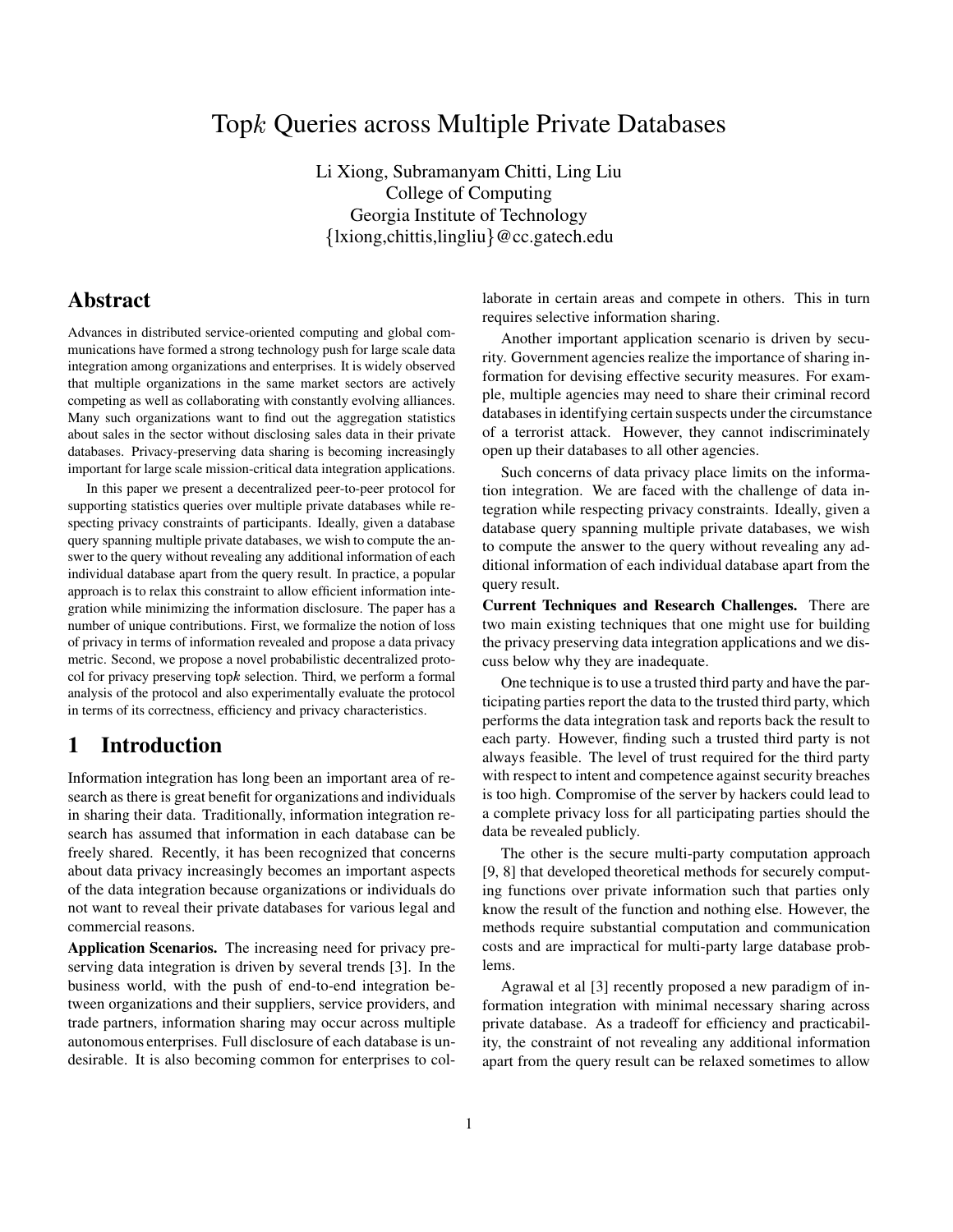# Top Queries across Multiple Private Databases

Li Xiong, Subramanyam Chitti, Ling Liu College of Computing Georgia Institute of Technology {lxiong, chittis, lingliu } @cc.gatech.edu

# **Abstract**

Advances in distributed service-oriented computing and global communications have formed a strong technology push for large scale data integration among organizations and enterprises. It is widely observed that multiple organizations in the same market sectors are actively competing as well as collaborating with constantly evolving alliances. Many such organizations want to find out the aggregation statistics about sales in the sector without disclosing sales data in their private databases. Privacy-preserving data sharing is becoming increasingly important for large scale mission-critical data integration applications.

In this paper we present a decentralized peer-to-peer protocol for supporting statistics queries over multiple private databases while respecting privacy constraints of participants. Ideally, given a database query spanning multiple private databases, we wish to compute the answer to the query without revealing any additional information of each individual database apart from the query result. In practice, a popular approach is to relax this constraint to allow efficient information integration while minimizing the information disclosure. The paper has a number of unique contributions. First, we formalize the notion of loss of privacy in terms of information revealed and propose a data privacy metric. Second, we propose a novel probabilistic decentralized protocol for privacy preserving top $k$  selection. Third, we perform a formal analysis of the protocol and also experimentally evaluate the protocol in terms of its correctness, efficiency and privacy characteristics.

# **1 Introduction**

Information integration has long been an important area of research as there is great benefit for organizations and individuals in sharing their data. Traditionally, information integration research has assumed that information in each database can be freely shared. Recently, it has been recognized that concerns about data privacy increasingly becomes an important aspects of the data integration because organizations or individuals do not want to reveal their private databases for various legal and commercial reasons.

**Application Scenarios.** The increasing need for privacy preserving data integration is driven by several trends [3]. In the business world, with the push of end-to-end integration between organizations and their suppliers, service providers, and trade partners, information sharing may occur across multiple autonomous enterprises. Full disclosure of each database is undesirable. It is also becoming common for enterprises to collaborate in certain areas and compete in others. This in turn requires selective information sharing.

Another important application scenario is driven by security. Government agencies realize the importance of sharing information for devising effective security measures. For example, multiple agencies may need to share their criminal record databases in identifying certain suspects under the circumstance of a terrorist attack. However, they cannot indiscriminately open up their databases to all other agencies.

Such concerns of data privacy place limits on the information integration. We are faced with the challenge of data integration while respecting privacy constraints. Ideally, given a database query spanning multiple private databases, we wish to compute the answer to the query without revealing any additional information of each individual database apart from the query result.

**Current Techniques and Research Challenges.** There are two main existing techniques that one might use for building the privacy preserving data integration applications and we discuss below why they are inadequate.

One technique is to use a trusted third party and have the participating parties report the data to the trusted third party, which performs the data integration task and reports back the result to each party. However, finding such a trusted third party is not always feasible. The level of trust required for the third party with respect to intent and competence against security breaches is too high. Compromise of the server by hackers could lead to a complete privacy loss for all participating parties should the data be revealed publicly.

The other is the secure multi-party computation approach [9, 8] that developed theoretical methods for securely computing functions over private information such that parties only know the result of the function and nothing else. However, the methods require substantial computation and communication costs and are impractical for multi-party large database problems.

Agrawal et al [3] recently proposed a new paradigm of information integration with minimal necessary sharing across private database. As a tradeoff for efficiency and practicability, the constraint of not revealing any additional information apart from the query result can be relaxed sometimes to allow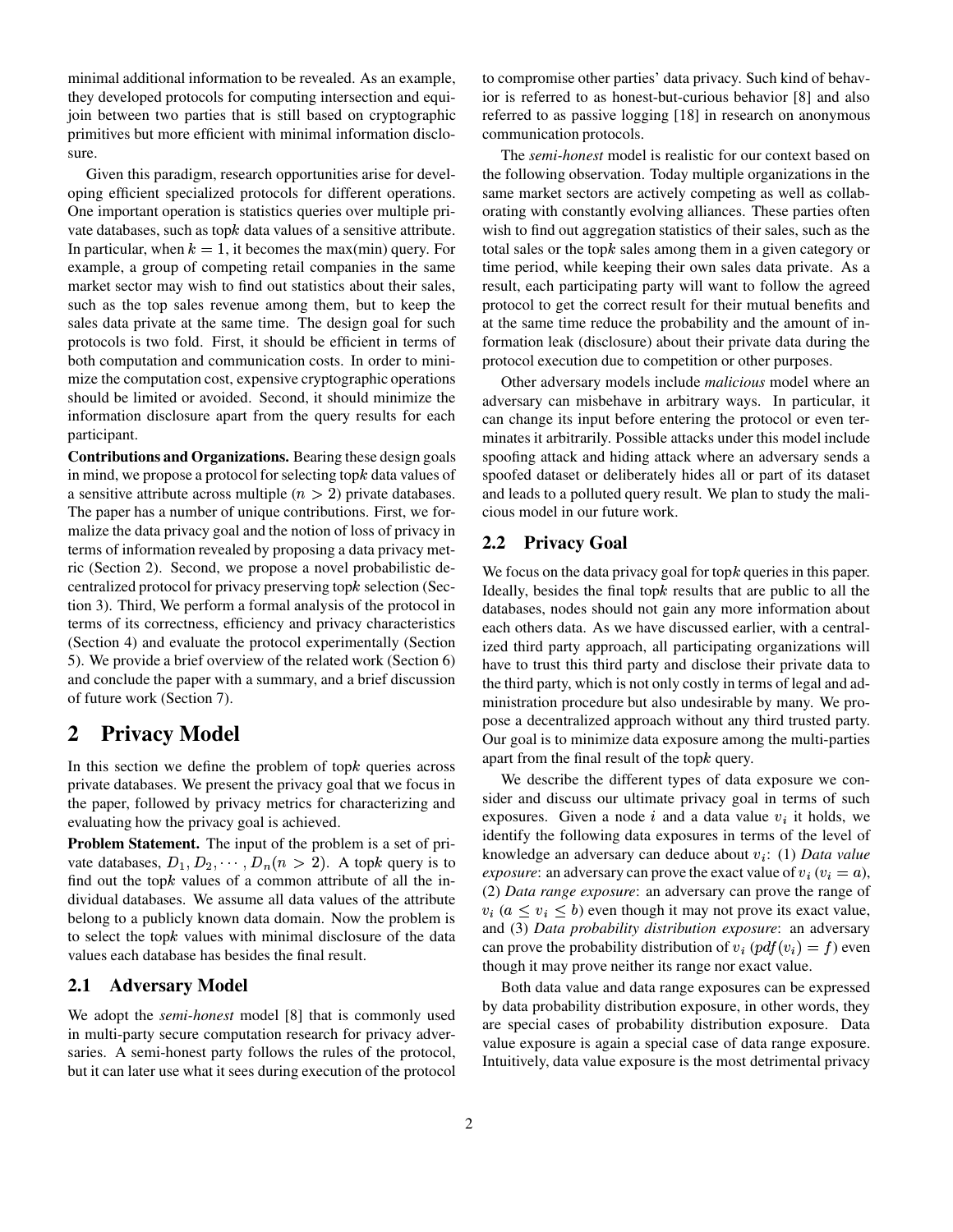minimal additional information to be revealed. As an example, they developed protocols for computing intersection and equijoin between two parties that is still based on cryptographic primitives but more efficient with minimal information disclosure.

Given this paradigm, research opportunities arise for developing efficient specialized protocols for different operations. One important operation is statistics queries over multiple private databases, such as top $k$  data values of a sensitive attribute. In particular, when  $k = 1$ , it becomes the max(min) query. For example, a group of competing retail companies in the same market sector may wish to find out statistics about their sales, such as the top sales revenue among them, but to keep the sales data private at the same time. The design goal for such protocols is two fold. First, it should be efficient in terms of both computation and communication costs. In order to minimize the computation cost, expensive cryptographic operations should be limited or avoided. Second, it should minimize the information disclosure apart from the query results for each participant.

**Contributions and Organizations.** Bearing these design goals in mind, we propose a protocol for selecting top $k$  data values of a sensitive attribute across multiple  $(n > 2)$  private databases. The paper has a number of unique contributions. First, we formalize the data privacy goal and the notion of loss of privacy in terms of information revealed by proposing a data privacy metric (Section 2). Second, we propose a novel probabilistic decentralized protocol for privacy preserving top $k$  selection (Section 3). Third, We perform a formal analysis of the protocol in terms of its correctness, efficiency and privacy characteristics (Section 4) and evaluate the protocol experimentally (Section 5). We provide a brief overview of the related work (Section 6) and conclude the paper with a summary, and a brief discussion of future work (Section 7).

# **2 Privacy Model**

In this section we define the problem of top $k$  queries across private databases. We present the privacy goal that we focus in the paper, followed by privacy metrics for characterizing and evaluating how the privacy goal is achieved.

**Problem Statement.** The input of the problem is a set of private databases,  $D_1, D_2, \cdots, D_n (n > 2)$ . A topk query is to find out the top $k$  values of a common attribute of all the individual databases. We assume all data values of the attribute belong to a publicly known data domain. Now the problem is to select the top $k$  values with minimal disclosure of the data values each database has besides the final result.

### **2.1 Adversary Model**

We adopt the *semi-honest* model [8] that is commonly used in multi-party secure computation research for privacy adversaries. A semi-honest party follows the rules of the protocol, but it can later use what it sees during execution of the protocol

to compromise other parties' data privacy. Such kind of behavior is referred to as honest-but-curious behavior [8] and also referred to as passive logging [18] in research on anonymous communication protocols.

The *semi-honest* model is realistic for our context based on the following observation. Today multiple organizations in the same market sectors are actively competing as well as collaborating with constantly evolving alliances. These parties often wish to find out aggregation statistics of their sales, such as the total sales or the top $k$  sales among them in a given category or time period, while keeping their own sales data private. As a result, each participating party will want to follow the agreed protocol to get the correct result for their mutual benefits and at the same time reduce the probability and the amount of information leak (disclosure) about their private data during the protocol execution due to competition or other purposes.

Other adversary models include *malicious* model where an adversary can misbehave in arbitrary ways. In particular, it can change its input before entering the protocol or even terminates it arbitrarily. Possible attacks under this model include spoofing attack and hiding attack where an adversary sends a spoofed dataset or deliberately hides all or part of its dataset and leads to a polluted query result. We plan to study the malicious model in our future work.

### **2.2 Privacy Goal**

We focus on the data privacy goal for top $k$  queries in this paper. Ideally, besides the final top $k$  results that are public to all the databases, nodes should not gain any more information about each others data. As we have discussed earlier, with a centralized third party approach, all participating organizations will have to trust this third party and disclose their private data to the third party, which is not only costly in terms of legal and administration procedure but also undesirable by many. We propose a decentralized approach without any third trusted party. Our goal is to minimize data exposure among the multi-parties apart from the final result of the top $k$  query.

We describe the different types of data exposure we consider and discuss our ultimate privacy goal in terms of such exposures. Given a node i and a data value  $v_i$  it holds, we identify the following data exposures in terms of the level of knowledge an adversary can deduce about  $v_i$ : (1) *Data value exposure*: an adversary can prove the exact value of  $v_i$  ( $v_i = a$ ), (2) *Data range exposure*: an adversary can prove the range of  $v_i$  ( $a \le v_i \le b$ ) even though it may not prove its exact value, and (3) *Data probability distribution exposure*: an adversary can prove the probability distribution of  $v_i$  ( $pdf(v_i) = f$ ) even though it may prove neither its range nor exact value.

Both data value and data range exposures can be expressed by data probability distribution exposure, in other words, they are special cases of probability distribution exposure. Data value exposure is again a special case of data range exposure. Intuitively, data value exposure is the most detrimental privacy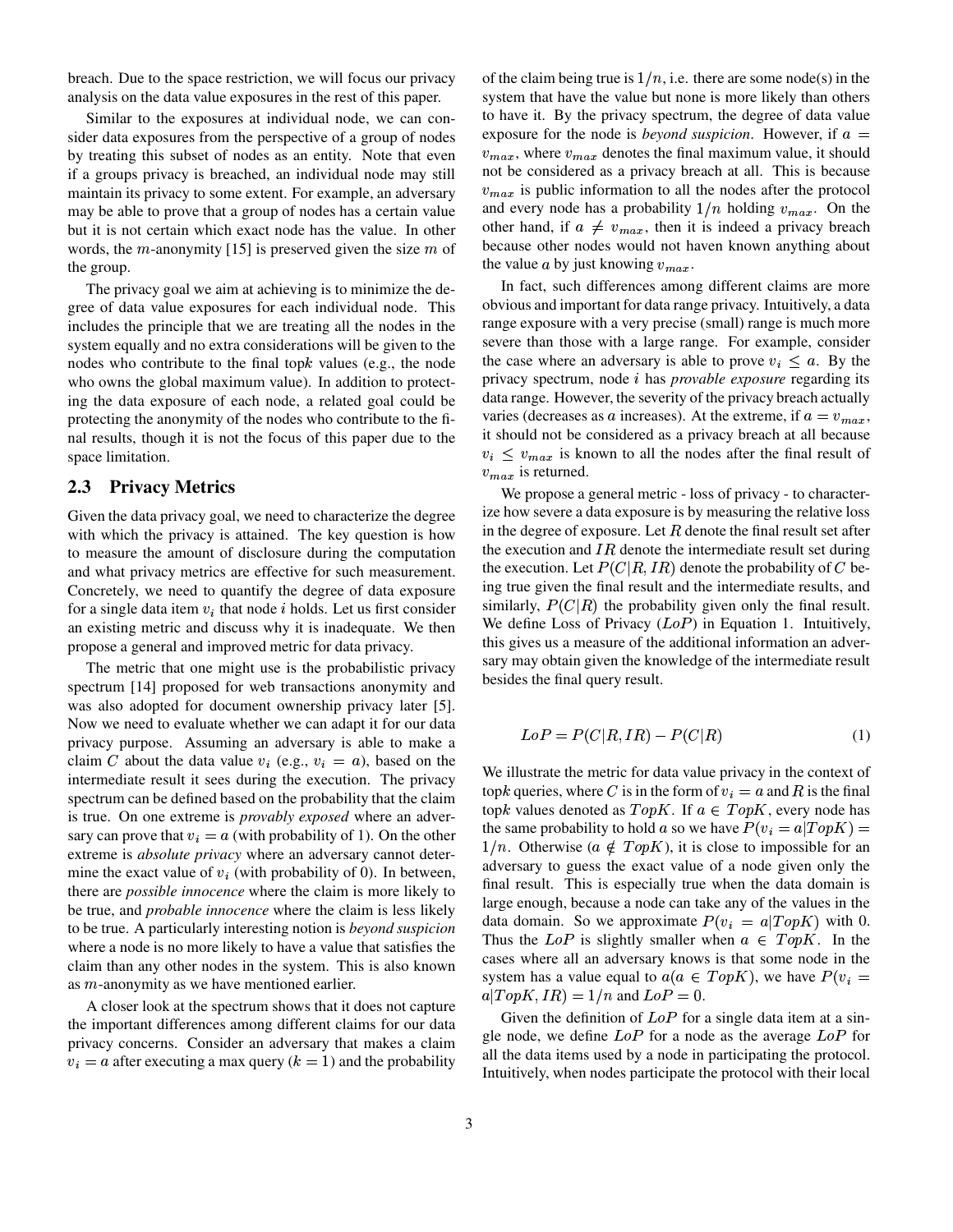breach. Due to the space restriction, we will focus our privacy analysis on the data value exposures in the rest of this paper.

Similar to the exposures at individual node, we can consider data exposures from the perspective of a group of nodes by treating this subset of nodes as an entity. Note that even if a groups privacy is breached, an individual node may still maintain its privacy to some extent. For example, an adversary may be able to prove that a group of nodes has a certain value but it is not certain which exact node has the value. In other words, the  $m$ -anonymity [15] is preserved given the size  $m$  of the group.

The privacy goal we aim at achieving is to minimize the degree of data value exposures for each individual node. This includes the principle that we are treating all the nodes in the system equally and no extra considerations will be given to the nodes who contribute to the final top $k$  values (e.g., the node who owns the global maximum value). In addition to protecting the data exposure of each node, a related goal could be protecting the anonymity of the nodes who contribute to the final results, though it is not the focus of this paper due to the space limitation.

### **2.3 Privacy Metrics**

Given the data privacy goal, we need to characterize the degree with which the privacy is attained. The key question is how to measure the amount of disclosure during the computation and what privacy metrics are effective for such measurement. Concretely, we need to quantify the degree of data exposure for a single data item  $v_i$  that node i holds. Let us first consider an existing metric and discuss why it is inadequate. We then propose a general and improved metric for data privacy.

The metric that one might use is the probabilistic privacy spectrum [14] proposed for web transactions anonymity and was also adopted for document ownership privacy later [5]. Now we need to evaluate whether we can adapt it for our data privacy purpose. Assuming an adversary is able to make a claim C about the data value  $v_i$  (e.g.,  $v_i = a$ ), based on the intermediate result it sees during the execution. The privacy spectrum can be defined based on the probability that the claim is true. On one extreme is *provably exposed* where an adversary can prove that  $v_i = a$  (with probability of 1). On the other extreme is *absolute privacy* where an adversary cannot determine the exact value of  $v_i$  (with probability of 0). In between, there are *possible innocence* where the claim is more likely to be true, and *probable innocence* where the claim is less likely to be true. A particularly interesting notion is *beyond suspicion* where a node is no more likely to have a value that satisfies the claim than any other nodes in the system. This is also known as  $m$ -anonymity as we have mentioned earlier.

A closer look at the spectrum shows that it does not capture the important differences among different claims for our data privacy concerns. Consider an adversary that makes a claim  $v_i = a$  after executing a max query  $(k = 1)$  and the probability of the claim being true is  $1/n$ , i.e. there are some node(s) in the system that have the value but none is more likely than others to have it. By the privacy spectrum, the degree of data value exposure for the node is *beyond suspicion*. However, if  $a =$  $v_{max}$ , where  $v_{max}$  denotes the final maximum value, it should not be considered as a privacy breach at all. This is because  $v_{max}$  is public information to all the nodes after the protocol and every node has a probability  $1/n$  holding  $v_{max}$ . On the other hand, if  $a \neq v_{max}$ , then it is indeed a privacy breach because other nodes would not haven known anything about the value  $a$  by just knowing  $v_{max}$ .

In fact, such differences among different claims are more obvious and important for data range privacy. Intuitively, a data range exposure with a very precise (small) range is much more severe than those with a large range. For example, consider the case where an adversary is able to prove  $v_i \le a$ . By the privacy spectrum, node *i* has *provable exposure* regarding its data range. However, the severity of the privacy breach actually varies (decreases as a increases). At the extreme, if  $a = v_{max}$ , it should not be considered as a privacy breach at all because  $v_i \leq v_{max}$  is known to all the nodes after the final result of  $v_{max}$  is returned.

We propose a general metric - loss of privacy - to characterize how severe a data exposure is by measuring the relative loss in the degree of exposure. Let  $R$  denote the final result set after the execution and  $IR$  denote the intermediate result set during the execution. Let  $P(C|R,IR)$  denote the probability of C being true given the final result and the intermediate results, and similarly,  $P(C|R)$  the probability given only the final result. We define Loss of Privacy  $(LoP)$  in Equation 1. Intuitively, this gives us a measure of the additional information an adversary may obtain given the knowledge of the intermediate result besides the final query result.

$$
LoP = P(C|R, IR) - P(C|R)
$$
\n<sup>(1)</sup>

We illustrate the metric for data value privacy in the context of topk queries, where C is in the form of  $v_i = a$  and R is the final topk values denoted as  $TopK$ . If  $a \in TopK$ , every node has the same probability to hold a so we have  $P(v_i = a | TopK) =$  $1/n$ . Otherwise ( $a \notin TopK$ ), it is close to impossible for an adversary to guess the exact value of a node given only the final result. This is especially true when the data domain is large enough, because a node can take any of the values in the data domain. So we approximate  $P(v_i = a | Top K)$  with 0. Thus the LoP is slightly smaller when  $a \in TopK$ . In the cases where all an adversary knows is that some node in the system has a value equal to  $a(a \in TopK)$ , we have  $P(v_i =$  $a | TopK, IR\rangle = 1/n$  and  $LoP = 0$ .

Given the definition of  $LoP$  for a single data item at a single node, we define  $LoP$  for a node as the average  $LoP$  for all the data items used by a node in participating the protocol. Intuitively, when nodes participate the protocol with their local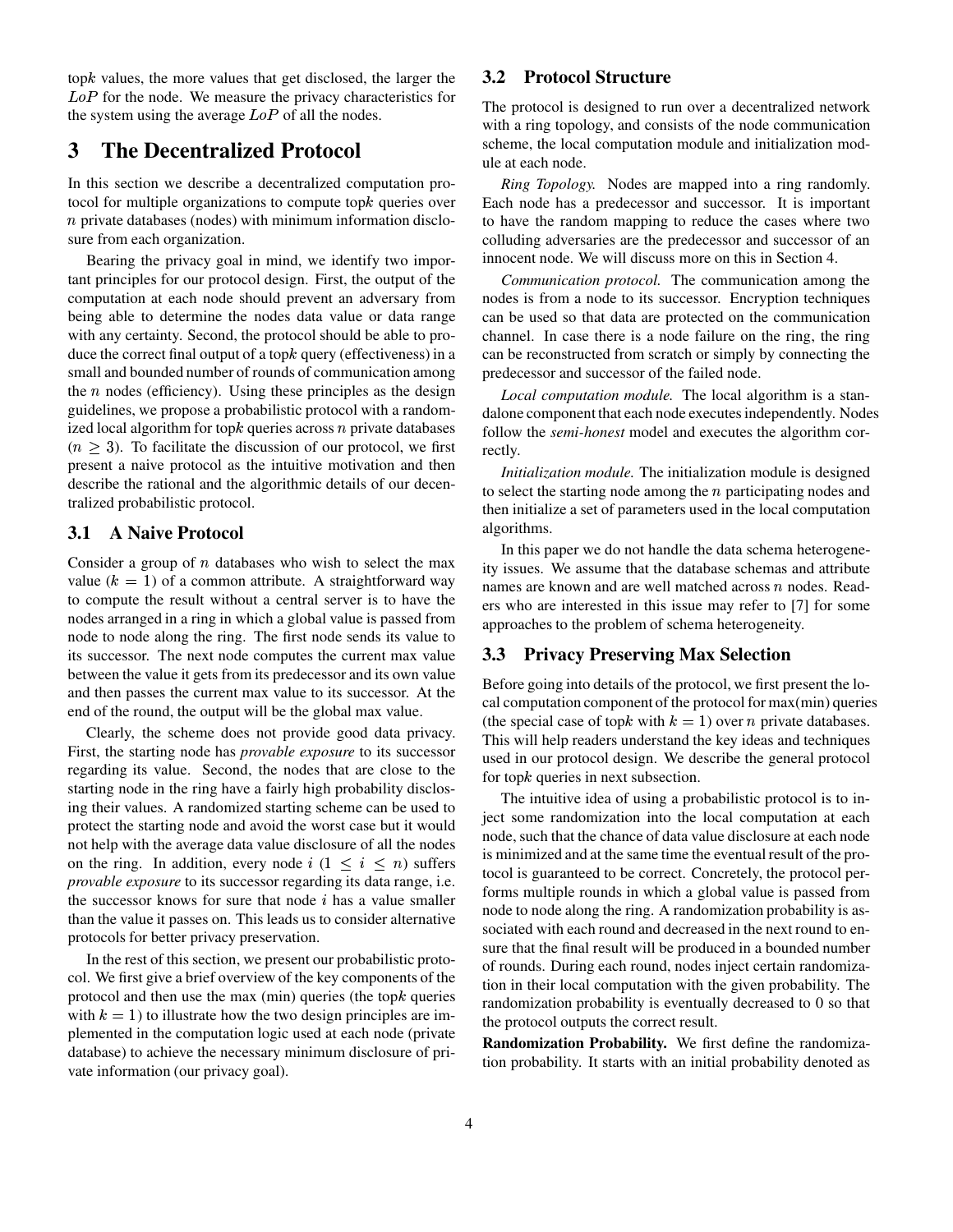top $k$  values, the more values that get disclosed, the larger the  $LoP$  for the node. We measure the privacy characteristics for the system using the average  $LoP$  of all the nodes.

# **3 The Decentralized Protocol**

In this section we describe a decentralized computation protocol for multiple organizations to compute top $k$  queries over  $n$  private databases (nodes) with minimum information disclosure from each organization.

Bearing the privacy goal in mind, we identify two important principles for our protocol design. First, the output of the computation at each node should prevent an adversary from being able to determine the nodes data value or data range with any certainty. Second, the protocol should be able to produce the correct final output of a top $k$  query (effectiveness) in a small and bounded number of rounds of communication among the  $n$  nodes (efficiency). Using these principles as the design guidelines, we propose a probabilistic protocol with a randomized local algorithm for top $k$  queries across  $n$  private databases  $(n > 3)$ . To facilitate the discussion of our protocol, we first present a naive protocol as the intuitive motivation and then describe the rational and the algorithmic details of our decentralized probabilistic protocol.

### **3.1 A Naive Protocol**

Consider a group of  $n$  databases who wish to select the max value  $(k = 1)$  of a common attribute. A straightforward way to compute the result without a central server is to have the nodes arranged in a ring in which a global value is passed from node to node along the ring. The first node sends its value to its successor. The next node computes the current max value between the value it gets from its predecessor and its own value and then passes the current max value to its successor. At the end of the round, the output will be the global max value.

Clearly, the scheme does not provide good data privacy. First, the starting node has *provable exposure* to its successor regarding its value. Second, the nodes that are close to the starting node in the ring have a fairly high probability disclosing their values. A randomized starting scheme can be used to protect the starting node and avoid the worst case but it would not help with the average data value disclosure of all the nodes on the ring. In addition, every node  $i$  ( $1 \le i \le n$ ) suffers *provable exposure* to its successor regarding its data range, i.e. the successor knows for sure that node  $i$  has a value smaller than the value it passes on. This leads us to consider alternative protocols for better privacy preservation.

In the rest of this section, we present our probabilistic protocol. We first give a brief overview of the key components of the protocol and then use the max (min) queries (the top $k$  queries with  $k = 1$ ) to illustrate how the two design principles are implemented in the computation logic used at each node (private database) to achieve the necessary minimum disclosure of private information (our privacy goal).

### **3.2 Protocol Structure**

The protocol is designed to run over a decentralized network with a ring topology, and consists of the node communication scheme, the local computation module and initialization module at each node.

*Ring Topology.* Nodes are mapped into a ring randomly. Each node has a predecessor and successor. It is important to have the random mapping to reduce the cases where two colluding adversaries are the predecessor and successor of an innocent node. We will discuss more on this in Section 4.

*Communication protocol.* The communication among the nodes is from a node to its successor. Encryption techniques can be used so that data are protected on the communication channel. In case there is a node failure on the ring, the ring can be reconstructed from scratch or simply by connecting the predecessor and successor of the failed node.

*Local computation module.* The local algorithm is a standalone component that each node executes independently. Nodes follow the *semi-honest* model and executes the algorithm correctly.

*Initialization module.* The initialization module is designed to select the starting node among the  $n$  participating nodes and then initialize a set of parameters used in the local computation algorithms.

In this paper we do not handle the data schema heterogeneity issues. We assume that the database schemas and attribute names are known and are well matched across  $n$  nodes. Readers who are interested in this issue may refer to [7] for some approaches to the problem of schema heterogeneity.

### **3.3 Privacy Preserving Max Selection**

Before going into details of the protocol, we first present the local computation component of the protocol for max(min) queries (the special case of topk with  $k = 1$ ) over *n* private databases. This will help readers understand the key ideas and techniques used in our protocol design. We describe the general protocol for top $k$  queries in next subsection.

The intuitive idea of using a probabilistic protocol is to inject some randomization into the local computation at each node, such that the chance of data value disclosure at each node is minimized and at the same time the eventual result of the protocol is guaranteed to be correct. Concretely, the protocol performs multiple rounds in which a global value is passed from node to node along the ring. A randomization probability is associated with each round and decreased in the next round to ensure that the final result will be produced in a bounded number of rounds. During each round, nodes inject certain randomization in their local computation with the given probability. The randomization probability is eventually decreased to 0 so that the protocol outputs the correct result.

**Randomization Probability.** We first define the randomization probability. It starts with an initial probability denoted as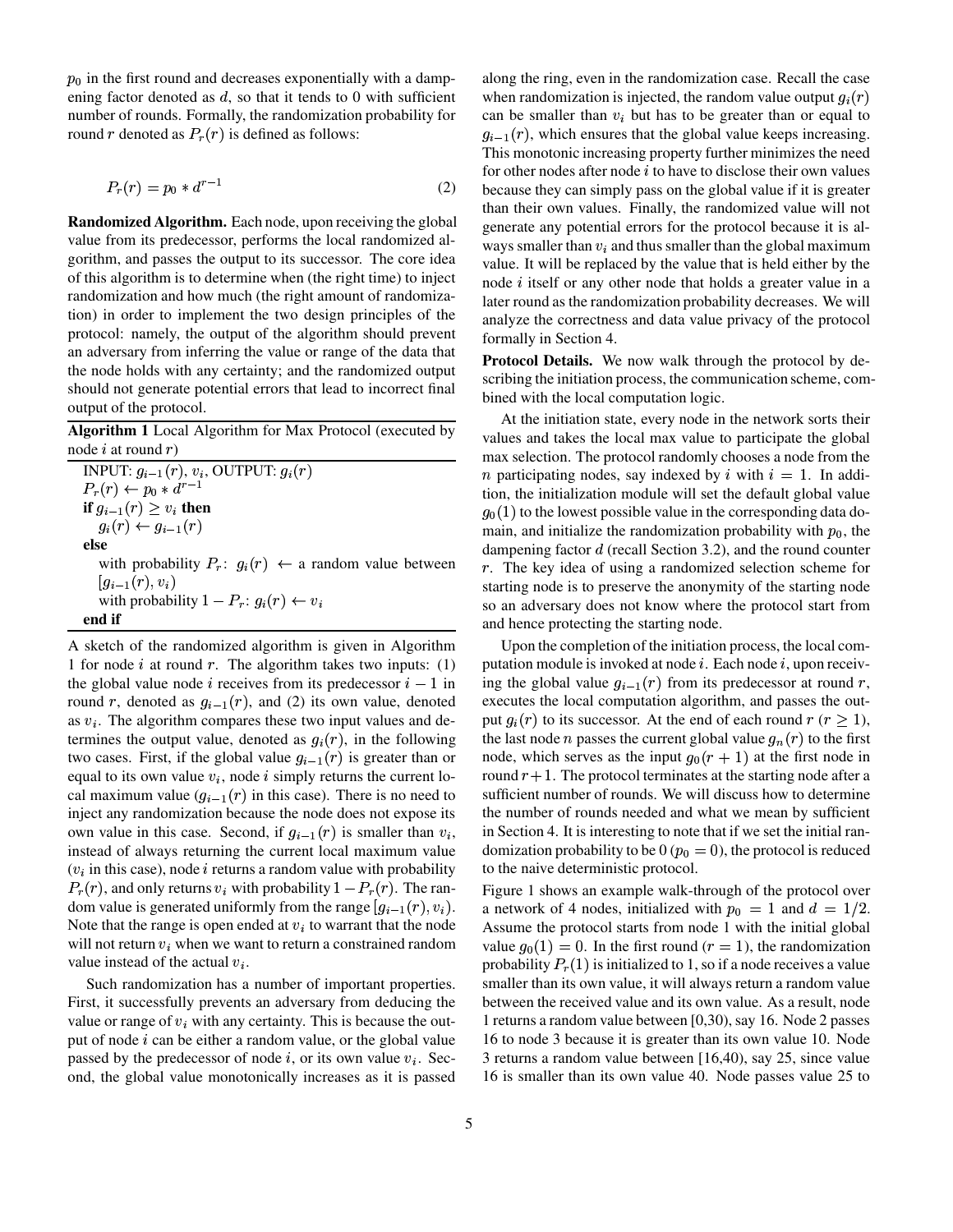$p_0$  in the first round and decreases exponentially with a dampening factor denoted as  $d$ , so that it tends to 0 with sufficient number of rounds. Formally, the randomization probability for round r denoted as  $P<sub>r</sub>(r)$  is defined as follows:

$$
P_r(r) = p_0 * d^{r-1}
$$
 (2)

**Randomized Algorithm.** Each node, upon receiving the global value from its predecessor, performs the local randomized algorithm, and passes the output to its successor. The core idea of this algorithm is to determine when (the right time) to inject randomization and how much (the right amount of randomization) in order to implement the two design principles of the protocol: namely, the output of the algorithm should prevent an adversary from inferring the value or range of the data that the node holds with any certainty; and the randomized output should not generate potential errors that lead to incorrect final output of the protocol.

**Algorithm 1** Local Algorithm for Max Protocol (executed by node  $i$  at round  $r$ )

INPUT:  $g_{i-1}(r)$ ,  $v_i$ , OUTPUT:  $g_i(r)$  $P_r(r) \leftarrow p_0 * d^{r-1}$ **if**  $g_{i-1}(r) \geq v_i$  **then**  $g_i(r) \leftarrow g_{i-1}(r)$ **else** with probability  $P_r$ :  $g_i(r) \leftarrow$  a random value between  $|g_{i-1}(r), v_i\rangle$ with probability  $1 - P_r : g_i(r) \leftarrow v_i$ **end if**

A sketch of the randomized algorithm is given in Algorithm 1 for node  $i$  at round  $r$ . The algorithm takes two inputs: (1) the global value node *i* receives from its predecessor  $i-1$  in round r, denoted as  $g_{i-1}(r)$ , and (2) its own value, denoted as  $v_i$ . The algorithm compares these two input values and determines the output value, denoted as  $q_i(r)$ , in the following two cases. First, if the global value  $g_{i-1}(r)$  is greater than or equal to its own value  $v_i$ , node  $i$  simply returns the current local maximum value  $(q_{i-1}(r))$  in this case). There is no need to inject any randomization because the node does not expose its own value in this case. Second, if  $q_{i-1}(r)$  is smaller than  $v_i$ , instead of always returning the current local maximum value  $(v<sub>i</sub>$  in this case), node *i* returns a random value with probability  $P_r(r)$ , and only returns  $v_i$  with probability  $1-P_r(r)$ . The random value is generated uniformly from the range  $[q_{i-1}(r), v_i]$ . Note that the range is open ended at  $v_i$  to warrant that the node will not return  $v_i$  when we want to return a constrained random value instead of the actual  $v_i$ .

Such randomization has a number of important properties. First, it successfully prevents an adversary from deducing the value or range of  $v_i$  with any certainty. This is because the output of node  $i$  can be either a random value, or the global value passed by the predecessor of node  $i$ , or its own value  $v_i$ . Second, the global value monotonically increases as it is passed along the ring, even in the randomization case. Recall the case when randomization is injected, the random value output  $q_i(r)$ can be smaller than  $v_i$  but has to be greater than or equal to  $q_{i-1}(r)$ , which ensures that the global value keeps increasing. This monotonic increasing property further minimizes the need for other nodes after node  $i$  to have to disclose their own values because they can simply pass on the global value if it is greater than their own values. Finally, the randomized value will not generate any potential errors for the protocol because it is always smaller than  $v_i$  and thus smaller than the global maximum value. It will be replaced by the value that is held either by the node  $i$  itself or any other node that holds a greater value in a later round as the randomization probability decreases. We will analyze the correctness and data value privacy of the protocol formally in Section 4.

**Protocol Details.** We now walk through the protocol by describing the initiation process, the communication scheme, combined with the local computation logic.

At the initiation state, every node in the network sorts their values and takes the local max value to participate the global max selection. The protocol randomly chooses a node from the *n* participating nodes, say indexed by *i* with  $i = 1$ . In addition, the initialization module will set the default global value  $g_0(1)$  to the lowest possible value in the corresponding data domain, and initialize the randomization probability with  $p_0$ , the dampening factor  $d$  (recall Section 3.2), and the round counter  $r$ . The key idea of using a randomized selection scheme for starting node is to preserve the anonymity of the starting node so an adversary does not know where the protocol start from and hence protecting the starting node.

Upon the completion of the initiation process, the local computation module is invoked at node  $i$ . Each node  $i$ , upon receiving the global value  $g_{i-1}(r)$  from its predecessor at round r, executes the local computation algorithm, and passes the output  $q_i(r)$  to its successor. At the end of each round  $r (r > 1)$ , the last node *n* passes the current global value  $g_n(r)$  to the first node, which serves as the input  $g_0(r + 1)$  at the first node in round  $r + 1$ . The protocol terminates at the starting node after a sufficient number of rounds. We will discuss how to determine the number of rounds needed and what we mean by sufficient in Section 4. It is interesting to note that if we set the initial randomization probability to be  $0 (p_0 = 0)$ , the protocol is reduced to the naive deterministic protocol.

Figure 1 shows an example walk-through of the protocol over a network of 4 nodes, initialized with  $p_0 = 1$  and  $d = 1/2$ . Assume the protocol starts from node 1 with the initial global value  $g_0(1) = 0$ . In the first round ( $r = 1$ ), the randomization probability  $P<sub>r</sub>(1)$  is initialized to 1, so if a node receives a value smaller than its own value, it will always return a random value between the received value and its own value. As a result, node 1 returns a random value between  $[0,30)$ , say 16. Node 2 passes 16 to node 3 because it is greater than its own value 10. Node 3 returns a random value between [16,40), say 25, since value 16 is smaller than its own value 40. Node passes value 25 to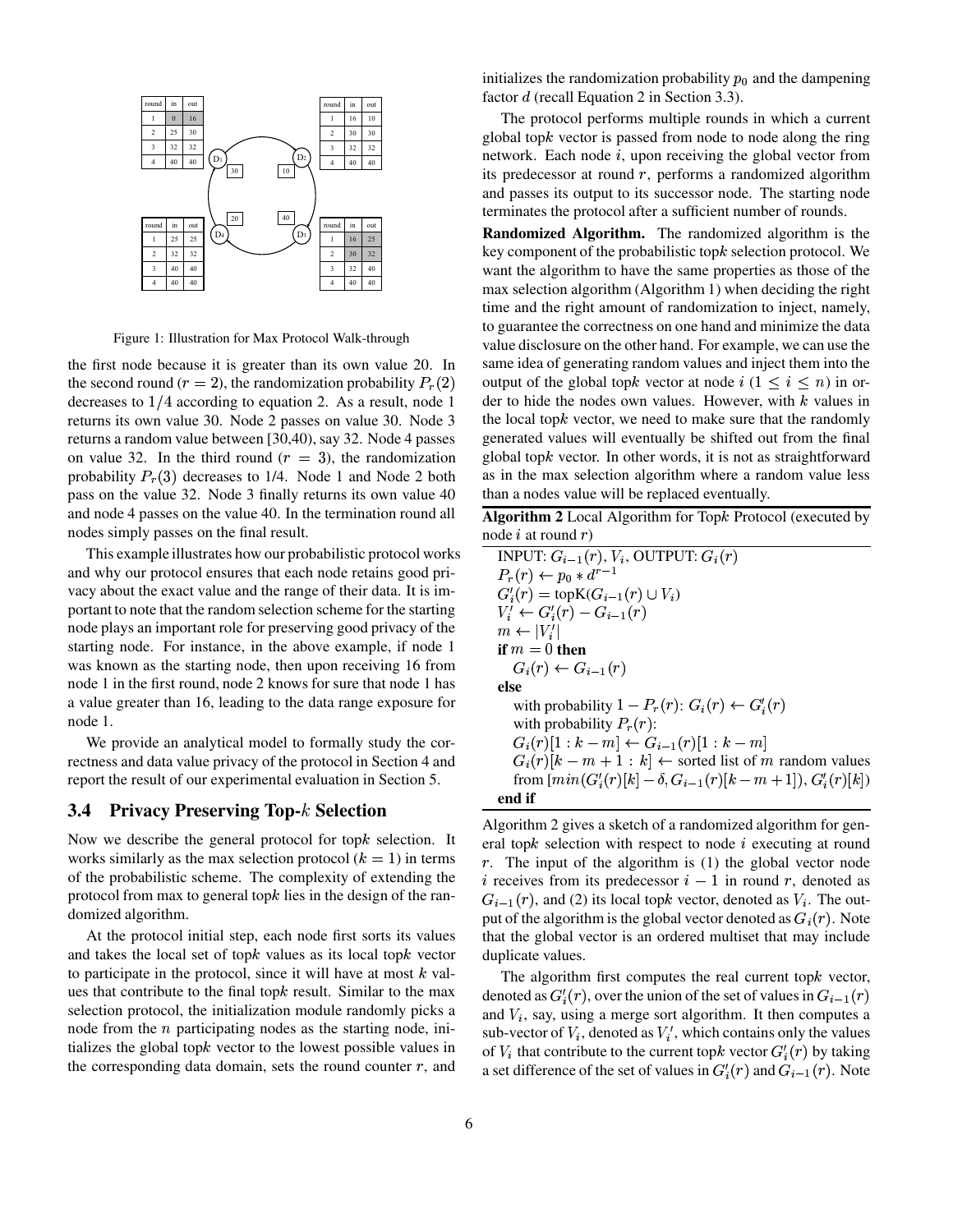

Figure 1: Illustration for Max Protocol Walk-through

the first node because it is greater than its own value 20. In the second round ( $r = 2$ ), the randomization probability  $P_r(2)$ decreases to  $1/4$  according to equation 2. As a result, node 1 returns its own value 30. Node 2 passes on value 30. Node 3 returns a random value between [30,40), say 32. Node 4 passes on value 32. In the third round  $(r = 3)$ , the randomization probability  $P<sub>r</sub>(3)$  decreases to 1/4. Node 1 and Node 2 both pass on the value 32. Node 3 finally returns its own value 40 and node 4 passes on the value 40. In the termination round all nodes simply passes on the final result.

This example illustrates how our probabilistic protocol works and why our protocol ensures that each node retains good privacy about the exact value and the range of their data. It is important to note that the random selection scheme for the starting node plays an important role for preserving good privacy of the starting node. For instance, in the above example, if node 1 was known as the starting node, then upon receiving 16 from node 1 in the first round, node 2 knows for sure that node 1 has a value greater than 16, leading to the data range exposure for node 1.

We provide an analytical model to formally study the correctness and data value privacy of the protocol in Section 4 and report the result of our experimental evaluation in Section 5.

#### **3.4 Privacy Preserving Top- Selection**

Now we describe the general protocol for top $k$  selection. It works similarly as the max selection protocol  $(k = 1)$  in terms of the probabilistic scheme. The complexity of extending the protocol from max to general top $k$  lies in the design of the randomized algorithm.

At the protocol initial step, each node first sorts its values and takes the local set of top $k$  values as its local top $k$  vector to participate in the protocol, since it will have at most  $k$  values that contribute to the final top $k$  result. Similar to the max selection protocol, the initialization module randomly picks a node from the  $n$  participating nodes as the starting node, initializes the global top $k$  vector to the lowest possible values in the corresponding data domain, sets the round counter  $r$ , and

initializes the randomization probability  $p_0$  and the dampening factor  $d$  (recall Equation 2 in Section 3.3).

The protocol performs multiple rounds in which a current global top $k$  vector is passed from node to node along the ring network. Each node  $i$ , upon receiving the global vector from its predecessor at round  $r$ , performs a randomized algorithm and passes its output to its successor node. The starting node terminates the protocol after a sufficient number of rounds.

**Randomized Algorithm.** The randomized algorithm is the key component of the probabilistic top $k$  selection protocol. We want the algorithm to have the same properties as those of the max selection algorithm (Algorithm 1) when deciding the right time and the right amount of randomization to inject, namely, to guarantee the correctness on one hand and minimize the data value disclosure on the other hand. For example, we can use the same idea of generating random values and inject them into the output of the global topk vector at node  $i \ (1 \leq i \leq n)$  in order to hide the nodes own values. However, with  $k$  values in the local top $k$  vector, we need to make sure that the randomly generated values will eventually be shifted out from the final global top $k$  vector. In other words, it is not as straightforward as in the max selection algorithm where a random value less than a nodes value will be replaced eventually.

**Algorithm 2** Local Algorithm for Top $k$  Protocol (executed by node  $i$  at round  $r$ )

INPUT:  $G_{i-1}(r)$ ,  $V_i$ , OUTPUT:  $G_i(r)$  $P_r(r) \leftarrow p_0 * d^{r-1}$  $G'_{i}(r) = \text{topK}(G_{i-1}(r) \cup V_{i})$  $\cdots$  value to the property of  $\cdots$ 7wvO 9 # <sup>O</sup> **if**  $m = 0$  **then**  $G_i(r) \leftarrow G_{i-1}(r)$ **else** with probability  $1 - P_r(r)$ :  $G_i(r) \leftarrow G'_i(r)$ with probability  $P_r(r)$ :  $G_i(r)[1:k-m] \leftarrow G_{i-1}(r)[1:k-m]$  $G_i(r)[k - m + 1 : k] \leftarrow$  sorted list of m random values from  $[\min(G'_{i}(r)[k] - \delta, G_{i-1}(r)[k-m+1]), G'_{i}(r)[k])$ **end if**

Algorithm 2 gives a sketch of a randomized algorithm for general top $k$  selection with respect to node  $i$  executing at round r. The input of the algorithm is  $(1)$  the global vector node i receives from its predecessor  $i-1$  in round r, denoted as  $G_{i-1}(r)$ , and (2) its local topk vector, denoted as  $V_i$ . The output of the algorithm is the global vector denoted as  $G_i(r)$ . Note that the global vector is an ordered multiset that may include duplicate values.

The algorithm first computes the real current top $k$  vector, denoted as  $G'_{i}(r)$ , over the union of the set of values in  $G_{i-1}(r)$ and  $V_i$ , say, using a merge sort algorithm. It then computes a sub-vector of  $V_i$ , denoted as  $V'_i$ , which contains only the values of  $V_i$  that contribute to the current topk vector  $G_i'(r)$  by taking a set difference of the set of values in  $G_i'(r)$  and  $G_{i-1}(r)$ . Note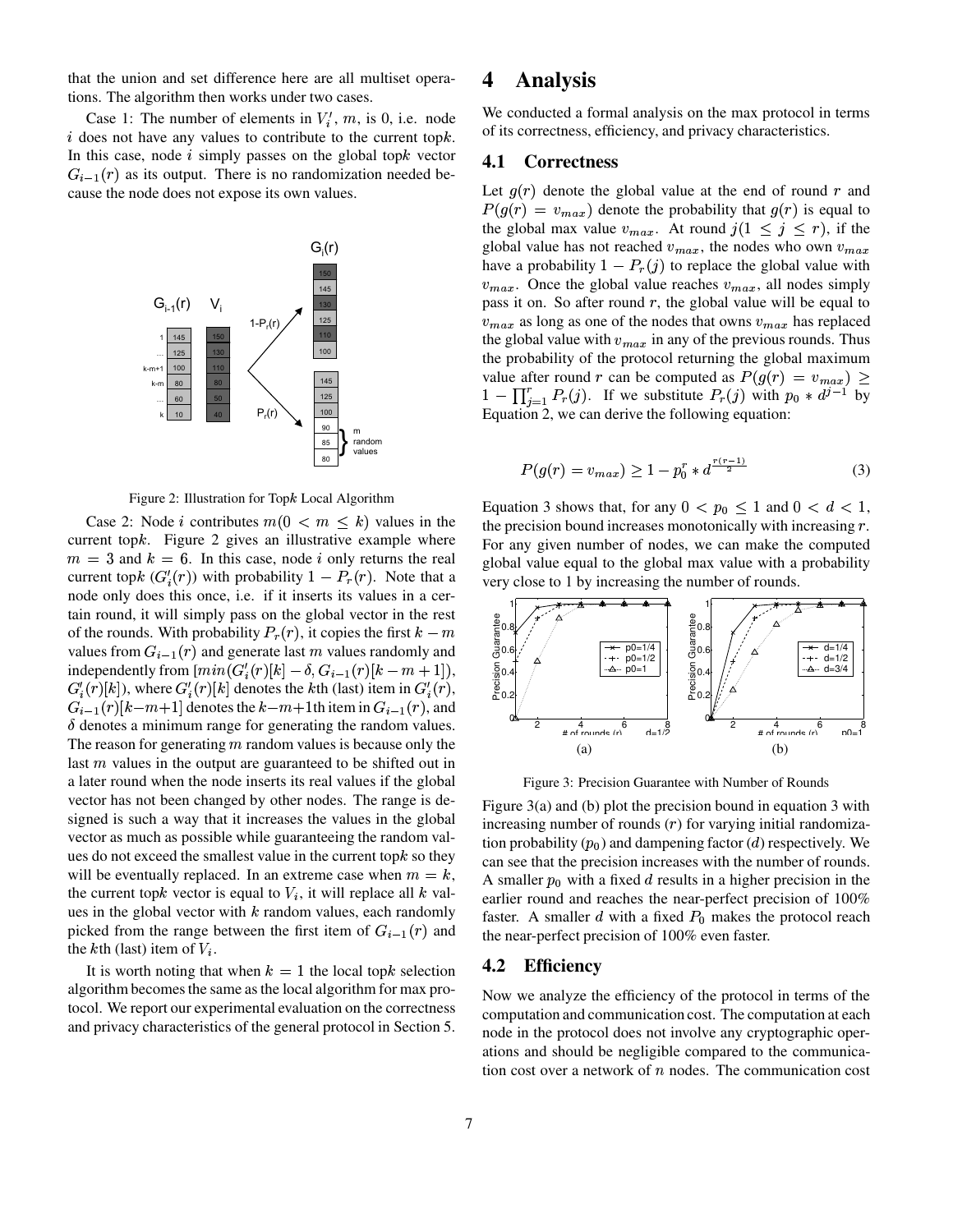that the union and set difference here are all multiset operations. The algorithm then works under two cases.

Case 1: The number of elements in  $V_i'$ ,  $m$ , is 0, i.e. node  $i$  does not have any values to contribute to the current top $k$ . In this case, node  $i$  simply passes on the global topk vector  $G_{i-1}(r)$  as its output. There is no randomization needed because the node does not expose its own values.





Case 2: Node *i* contributes  $m(0 \lt m \leq k)$  values in the current top $k$ . Figure 2 gives an illustrative example where  $m = 3$  and  $k = 6$ . In this case, node i only returns the real current topk  $(G_i'(r))$  with probability  $1 - P_r(r)$ . Note that a node only does this once, i.e. if it inserts its values in a certain round, it will simply pass on the global vector in the rest of the rounds. With probability  $P_r(r)$ , it copies the first  $k-m$ values from  $G_{i-1}(r)$  and generate last m values randomly and independently from  $[\min(G'_{i}(r)[k] - \delta, G_{i-1}(r)[k-m+1]),$  $G'_{i}(r)[k]$ , where  $G'_{i}(r)[k]$  denotes the kth (last) item in  $G'_{i}(r)$ ,  $G_{i-1}(r)[k-m+1]$  denotes the  $k-m+1$ th item in  $G_{i-1}(r)$ , and  $\delta$  denotes a minimum range for generating the random values. The reason for generating  $m$  random values is because only the last  $m$  values in the output are guaranteed to be shifted out in a later round when the node inserts its real values if the global vector has not been changed by other nodes. The range is designed is such a way that it increases the values in the global vector as much as possible while guaranteeing the random values do not exceed the smallest value in the current top $k$  so they will be eventually replaced. In an extreme case when  $m = k$ , the current topk vector is equal to  $V_i$ , it will replace all  $k$  values in the global vector with  $k$  random values, each randomly picked from the range between the first item of  $G_{i-1}(r)$  and the  $k$ th (last) item of  $V_i$ .

It is worth noting that when  $k = 1$  the local top selection algorithm becomesthe same as the local algorithm for max protocol. We report our experimental evaluation on the correctness and privacy characteristics of the general protocol in Section 5.

# **4 Analysis**

We conducted a formal analysis on the max protocol in terms of its correctness, efficiency, and privacy characteristics.

### **4.1 Correctness**

Let  $g(r)$  denote the global value at the end of round r and  $P(g(r) = v_{max})$  denote the probability that  $g(r)$  is equal to the global max value  $v_{max}$ . At round  $j(1 \leq j \leq r)$ , if the global value has not reached  $v_{max}$ , the nodes who own  $v_{max}$ have a probability  $1 - P_r(j)$  to replace the global value with  $v_{max}$ . Once the global value reaches  $v_{max}$ , all nodes simply pass it on. So after round  $r$ , the global value will be equal to  $v_{max}$  as long as one of the nodes that owns  $v_{max}$  has replaced the global value with  $v_{max}$  in any of the previous rounds. Thus the probability of the protocol returning the global maximum value after round r can be computed as  $P(g(r) = v_{max}) \ge$  $1 - \prod_{i=1}^r P_r(j)$ . If we substitute  $P_r(j)$  with  $p_0 * d^{j-1}$  by Equation 2, we can derive the following equation:

$$
P(g(r) = v_{max}) \ge 1 - p_0^r * d^{\frac{r(r-1)}{2}}
$$
 (3)

Equation 3 shows that, for any  $0 < p_0 \leq 1$  and  $0 < d < 1$ , the precision bound increases monotonically with increasing  $r$ . For any given number of nodes, we can make the computed global value equal to the global max value with a probability very close to 1 by increasing the number of rounds.



Figure 3: Precision Guarantee with Number of Rounds

Figure 3(a) and (b) plot the precision bound in equation 3 with increasing number of rounds  $(r)$  for varying initial randomization probability  $(p_0)$  and dampening factor (*d*) respectively. We can see that the precision increases with the number of rounds. A smaller  $p_0$  with a fixed d results in a higher precision in the earlier round and reaches the near-perfect precision of 100% faster. A smaller  $d$  with a fixed  $P_0$  makes the protocol reach the near-perfect precision of 100% even faster.

#### **4.2 Efficiency**

Now we analyze the efficiency of the protocol in terms of the computation and communication cost. The computation at each node in the protocol does not involve any cryptographic operations and should be negligible compared to the communication cost over a network of  $n$  nodes. The communication cost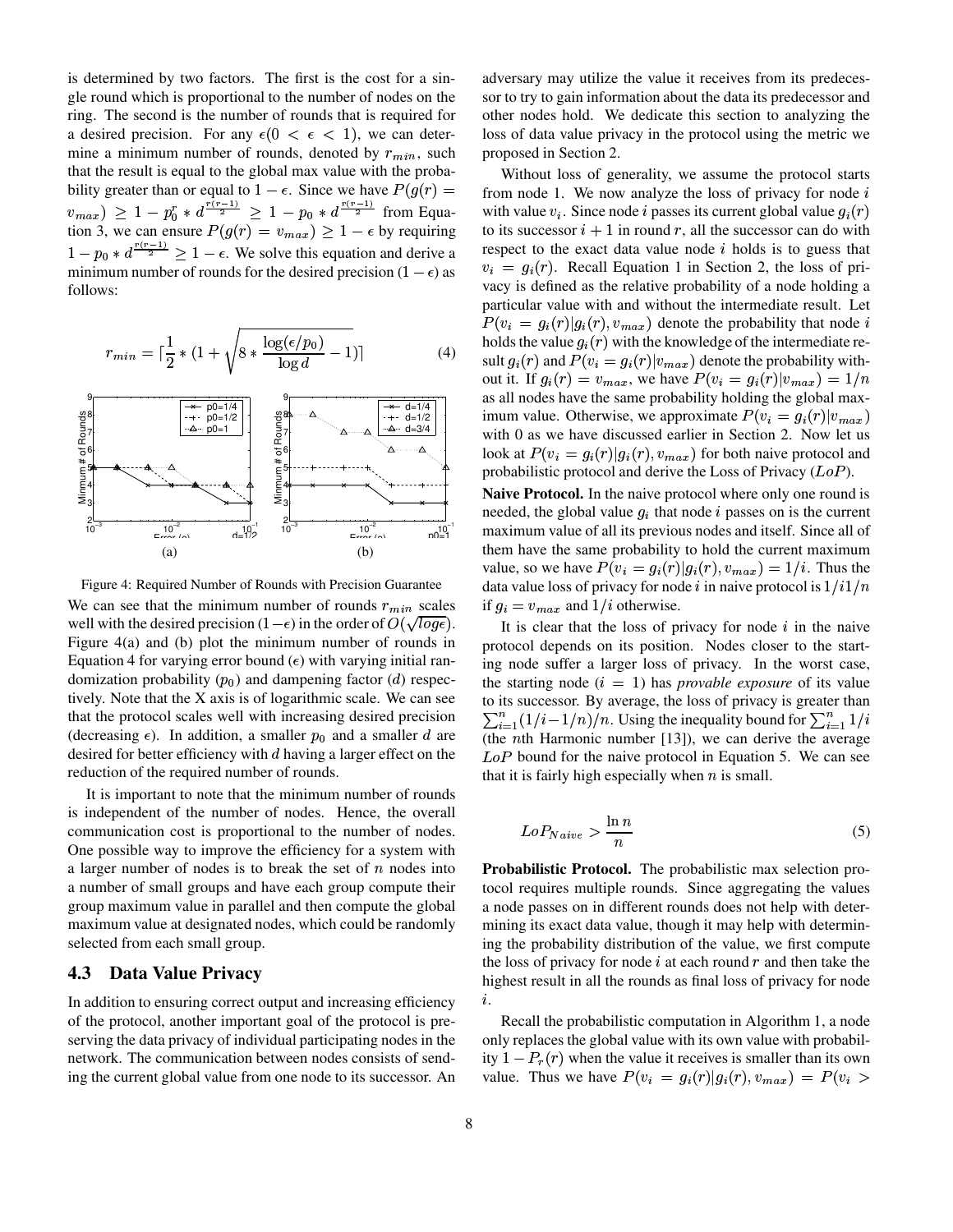is determined by two factors. The first is the cost for a single round which is proportional to the number of nodes on the ring. The second is the number of rounds that is required for a desired precision. For any  $\epsilon(0 < \epsilon < 1)$ , we can determine a minimum number of rounds, denoted by  $r_{min}$ , such that the result is equal to the global max value with the probability greater than or equal to  $1 - \epsilon$ . Since we have  $P(g(r)) =$  $v_{max}$ )  $\geq 1 - p_0^r * d^{\frac{(n-2)(n-2)}{2}} \geq 1 - p_0 * d^{\frac{(n-2)(n-2)}{2}}$  from Equation 3, we can ensure  $P(g(r) = v_{max}) \ge 1 - \epsilon$  by requiring  $1-p_0 * d^{\frac{(\lambda_0-\lambda_1)}{2}} \geq 1-\epsilon$ . We solve this equation and derive a minimum number of rounds for the desired precision ( $1 - \epsilon$ ) as follows:

$$
r_{min} = \lceil \frac{1}{2} * (1 + \sqrt{8 * \frac{\log(\epsilon/p_0)}{\log d} - 1}) \rceil \tag{4}
$$



Figure 4: Required Number of Rounds with Precision Guarantee We can see that the minimum number of rounds  $r_{min}$  scales well with the desired precision (1– $\epsilon$ ) in the order of  $O(\sqrt{\log \epsilon})$ . Figure 4(a) and (b) plot the minimum number of rounds in Equation 4 for varying error bound  $(\epsilon)$  with varying initial randomization probability  $(p_0)$  and dampening factor (*d*) respectively. Note that the X axis is of logarithmic scale. We can see that the protocol scales well with increasing desired precision (decreasing  $\epsilon$ ). In addition, a smaller  $p_0$  and a smaller d are desired for better efficiency with  $d$  having a larger effect on the reduction of the required number of rounds.

It is important to note that the minimum number of rounds is independent of the number of nodes. Hence, the overall communication cost is proportional to the number of nodes. One possible way to improve the efficiency for a system with a larger number of nodes is to break the set of  $n$  nodes into a number of small groups and have each group compute their group maximum value in parallel and then compute the global maximum value at designated nodes, which could be randomly selected from each small group.

### **4.3 Data Value Privacy**

In addition to ensuring correct output and increasing efficiency of the protocol, another important goal of the protocol is preserving the data privacy of individual participating nodes in the network. The communication between nodes consists of sending the current global value from one node to its successor. An adversary may utilize the value it receives from its predecessor to try to gain information about the data its predecessor and other nodes hold. We dedicate this section to analyzing the loss of data value privacy in the protocol using the metric we proposed in Section 2.

Without loss of generality, we assume the protocol starts from node 1. We now analyze the loss of privacy for node  $i$ with value  $v_i$ . Since node *i* passes its current global value  $q_i(r)$ to its successor  $i + 1$  in round r, all the successor can do with respect to the exact data value node  $i$  holds is to guess that  $v_i = g_i(r)$ . Recall Equation 1 in Section 2, the loss of privacy is defined as the relative probability of a node holding a particular value with and without the intermediate result. Let  $P(v_i = g_i(r)|g_i(r), v_{max})$  denote the probability that node i holds the value  $g_i(r)$  with the knowledge of the intermediate result  $g_i(r)$  and  $P(v_i = g_i(r)|v_{max})$  denote the probability without it. If  $g_i(r) = v_{max}$ , we have  $P(v_i = g_i(r)|v_{max}) = 1/n$ as all nodes have the same probability holding the global maximum value. Otherwise, we approximate  $P(v_i = g_i(r)|v_{max})$ with 0 as we have discussed earlier in Section 2. Now let us look at  $P(v_i = g_i(r)|g_i(r), v_{max})$  for both naive protocol and probabilistic protocol and derive the Loss of Privacy  $(LoP)$ .

**Naive Protocol.** In the naive protocol where only one round is needed, the global value  $q_i$  that node i passes on is the current maximum value of all its previous nodes and itself. Since all of them have the same probability to hold the current maximum value, so we have  $P(v_i = g_i(r)|g_i(r), v_{max}) = 1/i$ . Thus the data value loss of privacy for node i in naive protocol is  $1/i1/n$ if  $g_i = v_{max}$  and  $1/i$  otherwise.

It is clear that the loss of privacy for node  $i$  in the naive protocol depends on its position. Nodes closer to the starting node suffer a larger loss of privacy. In the worst case, the starting node  $(i = 1)$  has *provable exposure* of its value to its successor. By average, the loss of privacy is greater than  $\sum_{i=1}^{n} (1/i - 1/n)/n$ . Using the inequality bound for  $\sum_{i=1}^{n} 1/i$ (the *n*th Harmonic number  $[13]$ ), we can derive the average  $LoP$  bound for the naive protocol in Equation 5. We can see that it is fairly high especially when  $n$  is small.

$$
LoP_{Naive} > \frac{\ln n}{n} \tag{5}
$$

**Probabilistic Protocol.** The probabilistic max selection protocol requires multiple rounds. Since aggregating the values a node passes on in different rounds does not help with determining its exact data value, though it may help with determining the probability distribution of the value, we first compute the loss of privacy for node  $i$  at each round  $r$  and then take the highest result in all the rounds as final loss of privacy for node  $i$  .

Recall the probabilistic computation in Algorithm 1, a node only replaces the global value with its own value with probability  $1-P_r(r)$  when the value it receives is smaller than its own value. Thus we have  $P(v_i = g_i(r) | g_i(r), v_{max}) = P(v_i >$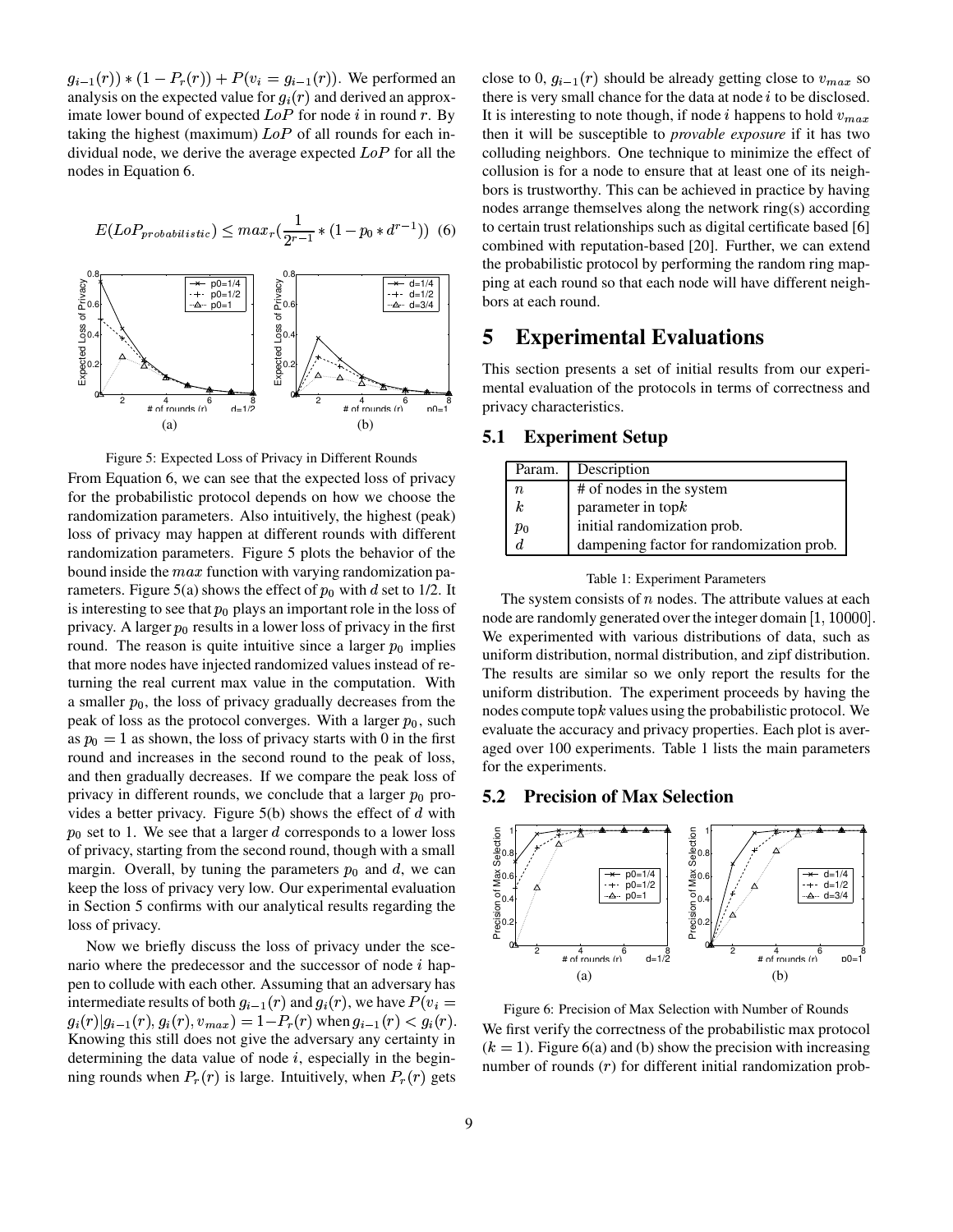$g_{i-1}(r)$  \*  $(1 - P_r(r)) + P(v_i = g_{i-1}(r))$ . We performed an analysis on the expected value for  $q_i(r)$  and derived an approximate lower bound of expected  $LoP$  for node i in round r. By taking the highest (maximum)  $LoP$  of all rounds for each individual node, we derive the average expected  $LoP$  for all the nodes in Equation 6.

$$
E(LoP_{probabilistic}) \leq max_r(\frac{1}{2r-1} * (1-p_0 * d^{r-1}))
$$
 (6)



Figure 5: Expected Loss of Privacy in Different Rounds

From Equation 6, we can see that the expected loss of privacy for the probabilistic protocol depends on how we choose the randomization parameters. Also intuitively, the highest (peak) loss of privacy may happen at different rounds with different randomization parameters. Figure 5 plots the behavior of the bound inside the  $max$  function with varying randomization parameters. Figure 5(a) shows the effect of  $p_0$  with d set to 1/2. It is interesting to see that  $p_0$  plays an important role in the loss of privacy. A larger  $p_0$  results in a lower loss of privacy in the first round. The reason is quite intuitive since a larger  $p_0$  implies that more nodes have injected randomized values instead of returning the real current max value in the computation. With a smaller  $p_0$ , the loss of privacy gradually decreases from the peak of loss as the protocol converges. With a larger  $p_0$ , such as  $p_0 = 1$  as shown, the loss of privacy starts with 0 in the first round and increases in the second round to the peak of loss, and then gradually decreases. If we compare the peak loss of privacy in different rounds, we conclude that a larger  $p_0$  provides a better privacy. Figure  $5(b)$  shows the effect of  $d$  with  $p_0$  set to 1. We see that a larger d corresponds to a lower loss of privacy, starting from the second round, though with a small margin. Overall, by tuning the parameters  $p_0$  and d, we can keep the loss of privacy very low. Our experimental evaluation in Section 5 confirms with our analytical results regarding the loss of privacy.

Now we briefly discuss the loss of privacy under the scenario where the predecessor and the successor of node  $i$  happen to collude with each other. Assuming that an adversary has intermediate results of both  $g_{i-1}(r)$  and  $g_i(r)$ , we have  $P(v_i =$  $g_i(r) | g_{i-1}(r), g_i(r), v_{max} = 1 - P_r(r)$  when  $g_{i-1}(r) < g_i(r)$ . Knowing this still does not give the adversary any certainty in determining the data value of node  $i$ , especially in the beginning rounds when  $P_r(r)$  is large. Intuitively, when  $P_r(r)$  gets

close to 0,  $g_{i-1}(r)$  should be already getting close to  $v_{max}$  so there is very small chance for the data at node  $i$  to be disclosed. It is interesting to note though, if node i happens to hold  $v_{max}$ then it will be susceptible to *provable exposure* if it has two colluding neighbors. One technique to minimize the effect of collusion is for a node to ensure that at least one of its neighbors is trustworthy. This can be achieved in practice by having nodes arrange themselves along the network ring(s) according to certain trust relationships such as digital certificate based [6] combined with reputation-based [20]. Further, we can extend the probabilistic protocol by performing the random ring mapping at each round so that each node will have different neighbors at each round.

# **5 Experimental Evaluations**

This section presents a set of initial results from our experimental evaluation of the protocols in terms of correctness and privacy characteristics.

#### **5.1 Experiment Setup**

| Param.           | Description                              |
|------------------|------------------------------------------|
| $\it n$          | # of nodes in the system                 |
| $\boldsymbol{k}$ | parameter in $topk$                      |
| $p_0$            | initial randomization prob.              |
| d.               | dampening factor for randomization prob. |

#### Table 1: Experiment Parameters

The system consists of  $n$  nodes. The attribute values at each node are randomly generated over the integer domain  $\left[1,10000\right]$ . We experimented with various distributions of data, such as uniform distribution, normal distribution, and zipf distribution. The results are similar so we only report the results for the uniform distribution. The experiment proceeds by having the nodes compute top $k$  values using the probabilistic protocol. We evaluate the accuracy and privacy properties. Each plot is averaged over 100 experiments. Table 1 lists the main parameters for the experiments.

#### **5.2 Precision of Max Selection**



Figure 6: Precision of Max Selection with Number of Rounds We first verify the correctness of the probabilistic max protocol  $(k = 1)$ . Figure 6(a) and (b) show the precision with increasing number of rounds  $(r)$  for different initial randomization prob-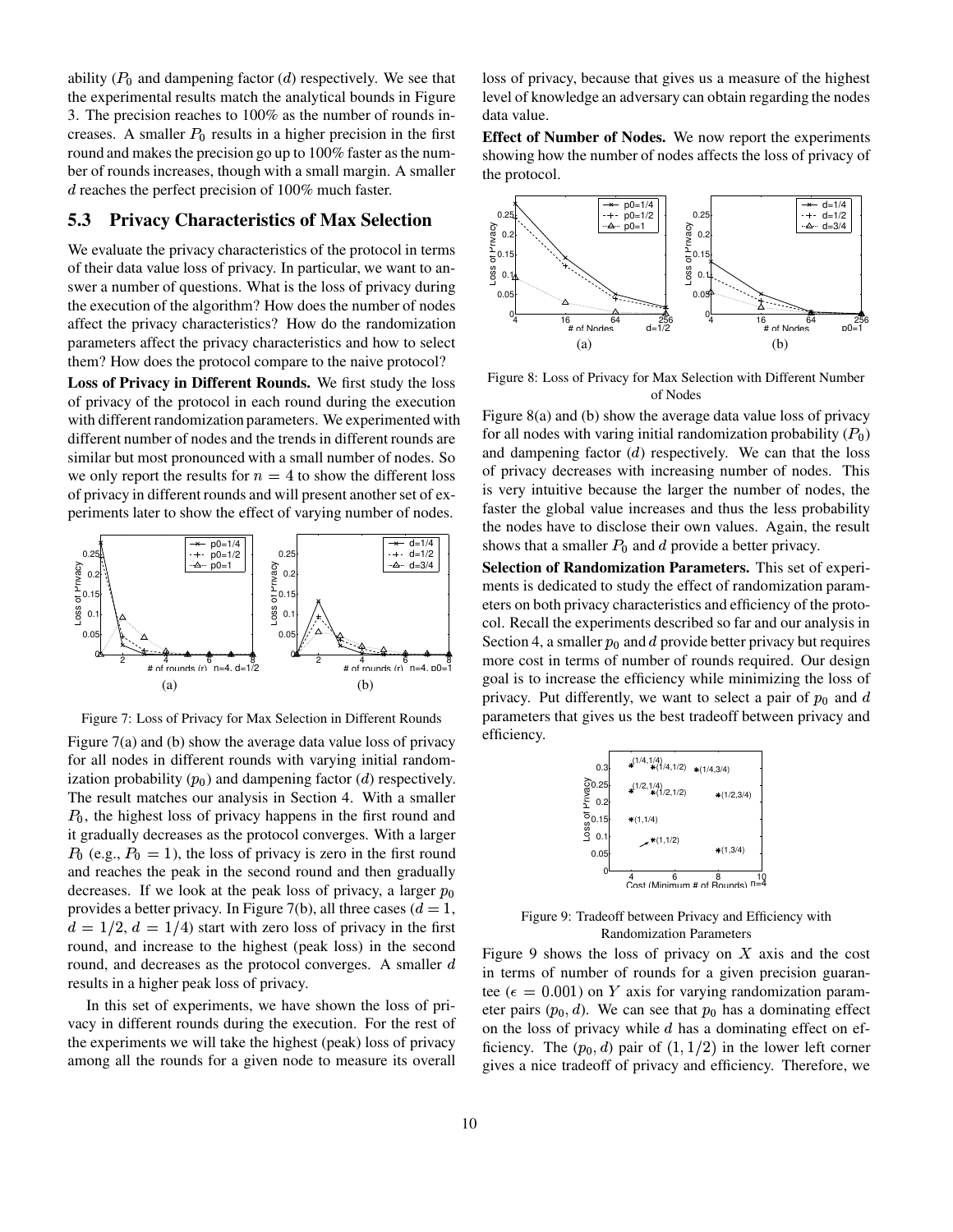ability ( $P_0$  and dampening factor (*d*) respectively. We see that the experimental results match the analytical bounds in Figure 3. The precision reaches to 100% as the number of rounds increases. A smaller  $P_0$  results in a higher precision in the first round and makes the precision go up to 100% faster as the number of rounds increases, though with a small margin. A smaller  $d$  reaches the perfect precision of 100% much faster.

#### **5.3 Privacy Characteristics of Max Selection**

We evaluate the privacy characteristics of the protocol in terms of their data value loss of privacy. In particular, we want to answer a number of questions. What is the loss of privacy during the execution of the algorithm? How does the number of nodes affect the privacy characteristics? How do the randomization parameters affect the privacy characteristics and how to select them? How does the protocol compare to the naive protocol?

**Loss of Privacy in Different Rounds.** We first study the loss of privacy of the protocol in each round during the execution with different randomization parameters. We experimented with different number of nodes and the trends in different rounds are similar but most pronounced with a small number of nodes. So we only report the results for  $n = 4$  to show the different loss of privacy in different rounds and will present another set of experiments later to show the effect of varying number of nodes.



Figure 7: Loss of Privacy for Max Selection in Different Rounds

Figure 7(a) and (b) show the average data value loss of privacy for all nodes in different rounds with varying initial randomization probability  $(p_0)$  and dampening factor (*d*) respectively. The result matches our analysis in Section 4. With a smaller  $P_0$ , the highest loss of privacy happens in the first round and it gradually decreases as the protocol converges. With a larger  $P_0$  (e.g.,  $P_0 = 1$ ), the loss of privacy is zero in the first round and reaches the peak in the second round and then gradually decreases. If we look at the peak loss of privacy, a larger  $p_0$ provides a better privacy. In Figure 7(b), all three cases ( $d=1$ ,  $d = 1/2, d = 1/4$  start with zero loss of privacy in the first round, and increase to the highest (peak loss) in the second round, and decreases as the protocol converges. A smaller  $d$ results in a higher peak loss of privacy.

In this set of experiments, we have shown the loss of privacy in different rounds during the execution. For the rest of the experiments we will take the highest (peak) loss of privacy among all the rounds for a given node to measure its overall loss of privacy, because that gives us a measure of the highest level of knowledge an adversary can obtain regarding the nodes data value.

**Effect of Number of Nodes.** We now report the experiments showing how the number of nodes affects the loss of privacy of the protocol.



Figure 8: Loss of Privacy for Max Selection with Different Number of Nodes

Figure 8(a) and (b) show the average data value loss of privacy for all nodes with varing initial randomization probability  $(P_0)$ and dampening factor  $(d)$  respectively. We can that the loss of privacy decreases with increasing number of nodes. This is very intuitive because the larger the number of nodes, the faster the global value increases and thus the less probability the nodes have to disclose their own values. Again, the result shows that a smaller  $P_0$  and d provide a better privacy.

**Selection of Randomization Parameters.** This set of experiments is dedicated to study the effect of randomization parameters on both privacy characteristics and efficiency of the protocol. Recall the experiments described so far and our analysis in Section 4, a smaller  $p_0$  and d provide better privacy but requires more cost in terms of number of rounds required. Our design goal is to increase the efficiency while minimizing the loss of privacy. Put differently, we want to select a pair of  $p_0$  and d parameters that gives us the best tradeoff between privacy and efficiency.



Figure 9: Tradeoff between Privacy and Efficiency with Randomization Parameters

Figure 9 shows the loss of privacy on  $X$  axis and the cost in terms of number of rounds for a given precision guarantee ( $\epsilon = 0.001$ ) on Y axis for varying randomization parameter pairs  $(p_0, d)$ . We can see that  $p_0$  has a dominating effect on the loss of privacy while  $d$  has a dominating effect on efficiency. The  $(p_0, d)$  pair of  $(1, 1/2)$  in the lower left corner gives a nice tradeoff of privacy and efficiency. Therefore, we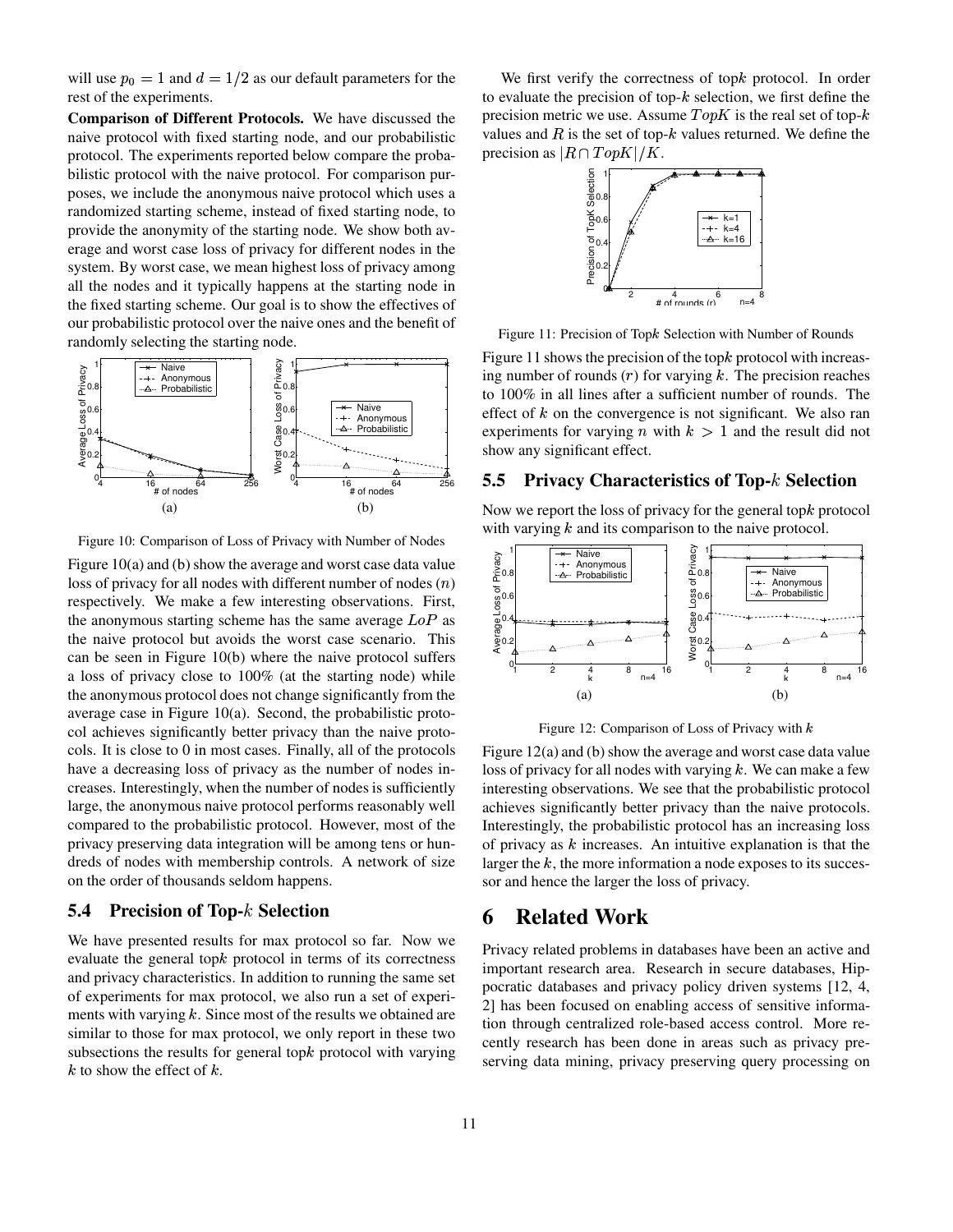will use  $p_0 = 1$  and  $d = 1/2$  as our default parameters for the rest of the experiments.

**Comparison of Different Protocols.** We have discussed the naive protocol with fixed starting node, and our probabilistic protocol. The experiments reported below compare the probabilistic protocol with the naive protocol. For comparison purposes, we include the anonymous naive protocol which uses a randomized starting scheme, instead of fixed starting node, to provide the anonymity of the starting node. We show both average and worst case loss of privacy for different nodes in the system. By worst case, we mean highest loss of privacy among all the nodes and it typically happens at the starting node in the fixed starting scheme. Our goal is to show the effectives of our probabilistic protocol over the naive ones and the benefit of randomly selecting the starting node.



Figure 10: Comparison of Loss of Privacy with Number of Nodes

Figure  $10(a)$  and (b) show the average and worst case data value loss of privacy for all nodes with different number of nodes  $(n)$ respectively. We make a few interesting observations. First, the anonymous starting scheme has the same average  $LoP$  as the naive protocol but avoids the worst case scenario. This can be seen in Figure 10(b) where the naive protocol suffers a loss of privacy close to 100% (at the starting node) while the anonymous protocol does not change significantly from the average case in Figure 10(a). Second, the probabilistic protocol achieves significantly better privacy than the naive protocols. It is close to 0 in most cases. Finally, all of the protocols have a decreasing loss of privacy as the number of nodes increases. Interestingly, when the number of nodes is sufficiently large, the anonymous naive protocol performs reasonably well compared to the probabilistic protocol. However, most of the privacy preserving data integration will be among tens or hundreds of nodes with membership controls. A network of size on the order of thousands seldom happens.

### **5.4 Precision of Top- Selection**

We have presented results for max protocol so far. Now we evaluate the general top $k$  protocol in terms of its correctness and privacy characteristics. In addition to running the same set of experiments for max protocol, we also run a set of experiments with varying  $k$ . Since most of the results we obtained are similar to those for max protocol, we only report in these two subsections the results for general top $k$  protocol with varying  $k$  to show the effect of  $k$ .

We first verify the correctness of top $k$  protocol. In order to evaluate the precision of top- $k$  selection, we first define the precision metric we use. Assume  $TopK$  is the real set of top- $k$ values and  $R$  is the set of top- $k$  values returned. We define the precision as  $|R \cap TopK|/K$ .



Figure 11: Precision of Topk Selection with Number of Rounds

Figure 11 shows the precision of the top $k$  protocol with increasing number of rounds  $(r)$  for varying  $k$ . The precision reaches to 100% in all lines after a sufficient number of rounds. The effect of  $k$  on the convergence is not significant. We also ran experiments for varying *n* with  $k > 1$  and the result did not show any significant effect.

#### **5.5 Privacy Characteristics of Top- Selection**

Now we report the loss of privacy for the general top $k$  protocol with varying  $k$  and its comparison to the naive protocol.



Figure 12: Comparison of Loss of Privacy with  $k$ 

Figure  $12(a)$  and (b) show the average and worst case data value loss of privacy for all nodes with varying  $k$ . We can make a few interesting observations. We see that the probabilistic protocol achieves significantly better privacy than the naive protocols. Interestingly, the probabilistic protocol has an increasing loss of privacy as  $k$  increases. An intuitive explanation is that the larger the  $k$ , the more information a node exposes to its successor and hence the larger the loss of privacy.

# **6 Related Work**

Privacy related problems in databases have been an active and important research area. Research in secure databases, Hippocratic databases and privacy policy driven systems [12, 4, 2] has been focused on enabling access of sensitive information through centralized role-based access control. More recently research has been done in areas such as privacy preserving data mining, privacy preserving query processing on